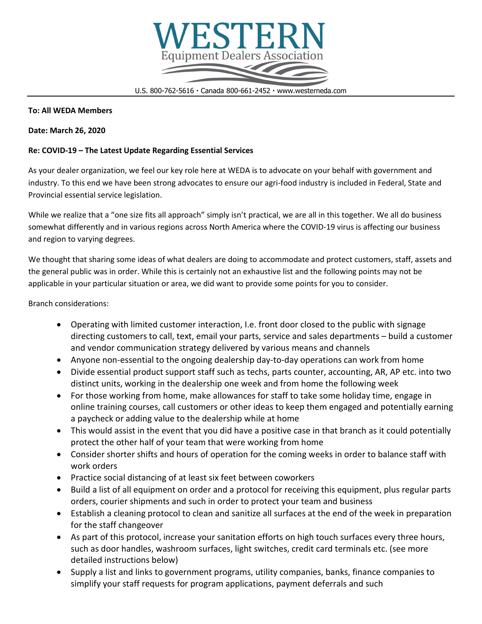

U.S. 800-762-5616 Canada 800-661-2452 www.westerneda.com

### **To: All WEDA Members**

### **Date: March 26, 2020**

# **Re: COVID-19 – The Latest Update Regarding Essential Services**

As your dealer organization, we feel our key role here at WEDA is to advocate on your behalf with government and industry. To this end we have been strong advocates to ensure our agri-food industry is included in Federal, State and Provincial essential service legislation.

While we realize that a "one size fits all approach" simply isn't practical, we are all in this together. We all do business somewhat differently and in various regions across North America where the COVID-19 virus is affecting our business and region to varying degrees.

We thought that sharing some ideas of what dealers are doing to accommodate and protect customers, staff, assets and the general public was in order. While this is certainly not an exhaustive list and the following points may not be applicable in your particular situation or area, we did want to provide some points for you to consider.

Branch considerations:

- Operating with limited customer interaction, I.e. front door closed to the public with signage directing customers to call, text, email your parts, service and sales departments – build a customer and vendor communication strategy delivered by various means and channels
- Anyone non-essential to the ongoing dealership day-to-day operations can work from home
- Divide essential product support staff such as techs, parts counter, accounting, AR, AP etc. into two distinct units, working in the dealership one week and from home the following week
- For those working from home, make allowances for staff to take some holiday time, engage in online training courses, call customers or other ideas to keep them engaged and potentially earning a paycheck or adding value to the dealership while at home
- This would assist in the event that you did have a positive case in that branch as it could potentially protect the other half of your team that were working from home
- Consider shorter shifts and hours of operation for the coming weeks in order to balance staff with work orders
- Practice social distancing of at least six feet between coworkers
- Build a list of all equipment on order and a protocol for receiving this equipment, plus regular parts orders, courier shipments and such in order to protect your team and business
- Establish a cleaning protocol to clean and sanitize all surfaces at the end of the week in preparation for the staff changeover
- As part of this protocol, increase your sanitation efforts on high touch surfaces every three hours, such as door handles, washroom surfaces, light switches, credit card terminals etc. (see more detailed instructions below)
- Supply a list and links to government programs, utility companies, banks, finance companies to simplify your staff requests for program applications, payment deferrals and such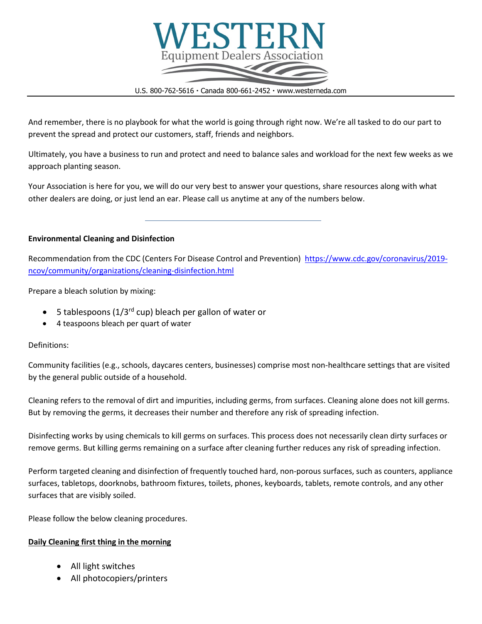

U.S. 800-762-5616 · Canada 800-661-2452 · www.westerneda.com

And remember, there is no playbook for what the world is going through right now. We're all tasked to do our part to prevent the spread and protect our customers, staff, friends and neighbors.

Ultimately, you have a business to run and protect and need to balance sales and workload for the next few weeks as we approach planting season.

Your Association is here for you, we will do our very best to answer your questions, share resources along with what other dealers are doing, or just lend an ear. Please call us anytime at any of the numbers below.

## **Environmental Cleaning and Disinfection**

Recommendation from the CDC (Centers For Disease Control and Prevention) [https://www.cdc.gov/coronavirus/2019](https://www.cdc.gov/coronavirus/2019-ncov/community/organizations/cleaning-disinfection.html) [ncov/community/organizations/cleaning-disinfection.html](https://www.cdc.gov/coronavirus/2019-ncov/community/organizations/cleaning-disinfection.html)

Prepare a bleach solution by mixing:

- 5 tablespoons ( $1/3^{rd}$  cup) bleach per gallon of water or
- 4 teaspoons bleach per quart of water

#### Definitions:

Community facilities (e.g., schools, daycares centers, businesses) comprise most non-healthcare settings that are visited by the general public outside of a household.

Cleaning refers to the removal of dirt and impurities, including germs, from surfaces. Cleaning alone does not kill germs. But by removing the germs, it decreases their number and therefore any risk of spreading infection.

Disinfecting works by using chemicals to kill germs on surfaces. This process does not necessarily clean dirty surfaces or remove germs. But killing germs remaining on a surface after cleaning further reduces any risk of spreading infection.

Perform targeted cleaning and disinfection of frequently touched hard, non-porous surfaces, such as counters, appliance surfaces, tabletops, doorknobs, bathroom fixtures, toilets, phones, keyboards, tablets, remote controls, and any other surfaces that are visibly soiled.

Please follow the below cleaning procedures.

# **Daily Cleaning first thing in the morning**

- All light switches
- All photocopiers/printers